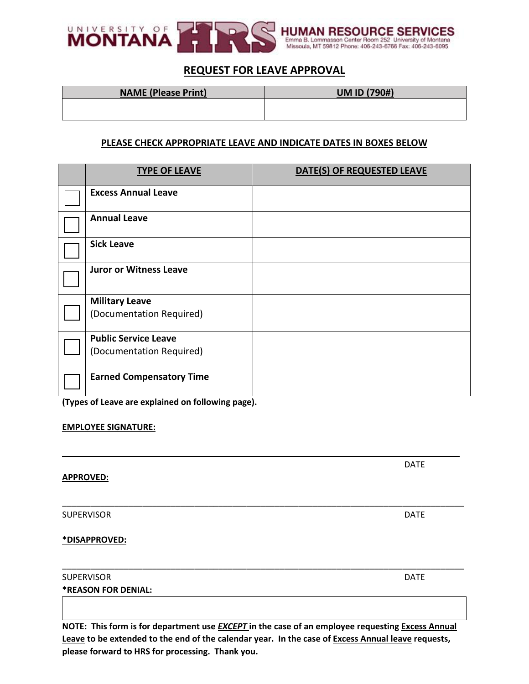

# **REQUEST FOR LEAVE APPROVAL**

| <b>NAME (Please Print)</b> | <b>UM ID (790#)</b> |
|----------------------------|---------------------|
|                            |                     |
|                            |                     |

### **PLEASE CHECK APPROPRIATE LEAVE AND INDICATE DATES IN BOXES BELOW**

| <b>TYPE OF LEAVE</b>                                    | DATE(S) OF REQUESTED LEAVE |
|---------------------------------------------------------|----------------------------|
| <b>Excess Annual Leave</b>                              |                            |
| <b>Annual Leave</b>                                     |                            |
| <b>Sick Leave</b>                                       |                            |
| <b>Juror or Witness Leave</b>                           |                            |
| <b>Military Leave</b><br>(Documentation Required)       |                            |
| <b>Public Service Leave</b><br>(Documentation Required) |                            |
| <b>Earned Compensatory Time</b>                         |                            |

**(Types of Leave are explained on following page).**

#### **EMPLOYEE SIGNATURE:**

#### **APPROVED:**

SUPERVISOR DATE AND INTERNATIONAL SUPERVISOR DATE AND INTERNATIONAL CONTRACT OF A SUPERVISOR OF A SUPERVISOR OF A SUPERVISOR OF A SUPERVISOR OF A SUPERVISOR OF A SUPERVISOR OF A SUPERVISOR OF A SUPERVISOR OF A SUPERVISOR O

**\*DISAPPROVED:**

| SUPERVISOR                 | <b>DATF</b> |
|----------------------------|-------------|
| <b>*REASON FOR DENIAL:</b> |             |

**NOTE: This form is for department use** *EXCEPT* **in the case of an employee requesting Excess Annual Leave to be extended to the end of the calendar year. In the case of Excess Annual leave requests, please forward to HRS for processing. Thank you.**

\_\_\_\_\_\_\_\_\_\_\_\_\_\_\_\_\_\_\_\_\_\_\_\_\_\_\_\_\_\_\_\_\_\_\_\_\_\_\_\_\_\_\_\_\_\_\_\_\_\_\_\_\_\_\_\_\_\_\_\_\_\_\_\_\_\_\_\_\_\_\_\_\_\_\_\_\_\_\_\_\_\_\_\_

\_\_\_\_\_\_\_\_\_\_\_\_\_\_\_\_\_\_\_\_\_\_\_\_\_\_\_\_\_\_\_\_\_\_\_\_\_\_\_\_\_\_\_\_\_\_\_\_\_\_\_\_\_\_\_\_\_\_\_\_\_\_\_\_\_\_\_\_\_\_\_\_\_\_\_\_\_\_\_\_\_\_\_\_\_

DATE